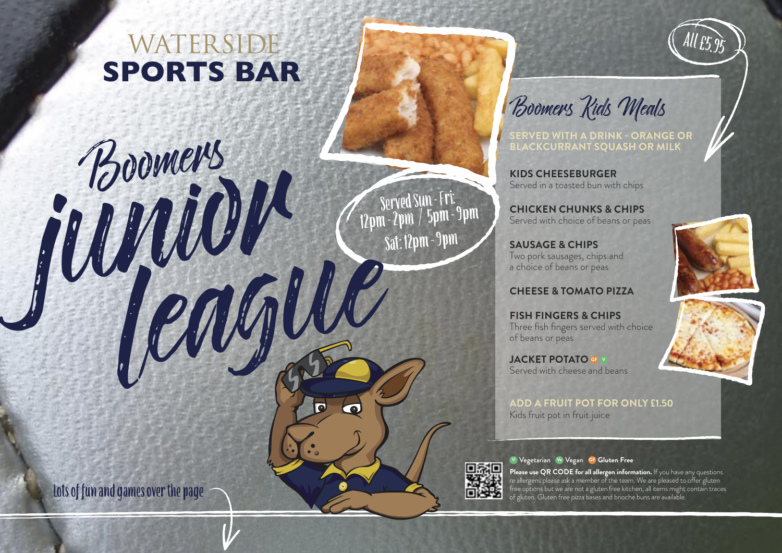## WATERSIDE **SPORTS BAR**

league

All £5.95

Boomers Kids Meals

**BLACKCURRANT SOUASH OR MILK** 

**KIDS CHEESEBURGER** Served in a toasted bun with chips

**CHICKEN CHUNKS & CHIPS** Served with choice of beans or peas

**SAUSAGE & CHIPS SAUSAGE & CHIPS** Two pork sausages, chips and a choice of beans or peas



## **CHEESE & TOMATO PIZZA**

**FISH FINGERS & CHIPS** Three fish fingers served with choice of beans or peas

**SACKET POTATO** 

Kids fruit pot in fruit juice **Alleman Concerns** 



Served Sun - Fri:

12pm - 2pm / 5pm - 9pm

Sat: 12pm - 9pm

## **V** Vegetarian Ve Vegan GF Gluten Free

 Vegetarian Vegan **Gluten Free Please use QR CODE for all allergen information.** If you have any questions re allergens please ask a member of the team. We are pleased to offer gluten free options but we are not a gluten free kitchen, all items might contain traces of gluten. Gluten free pizza bases and brioche buns are available.



junior

Boomers

**ACCORDS**